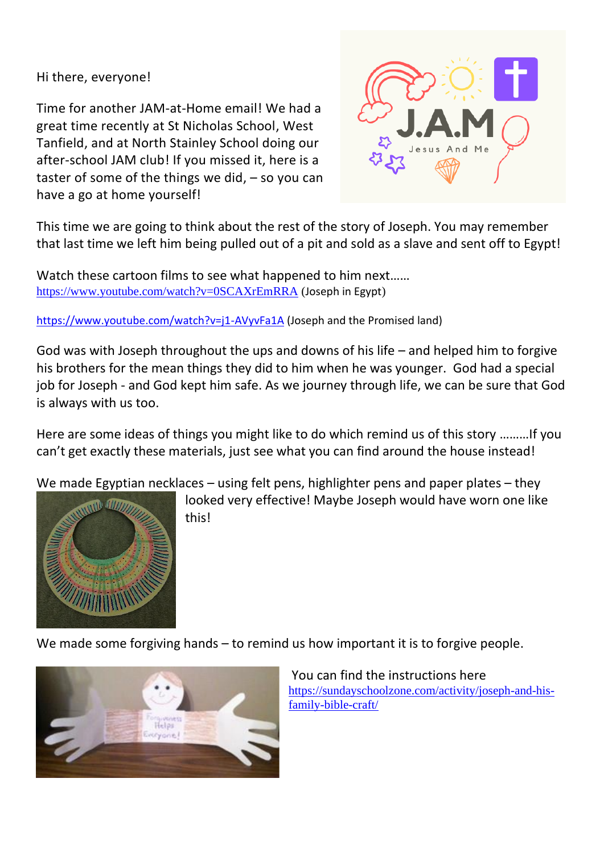Hi there, everyone!

Time for another JAM-at-Home email! We had a great time recently at St Nicholas School, West Tanfield, and at North Stainley School doing our after-school JAM club! If you missed it, here is a taster of some of the things we did,  $-$  so you can have a go at home yourself!



This time we are going to think about the rest of the story of Joseph. You may remember that last time we left him being pulled out of a pit and sold as a slave and sent off to Egypt!

Watch these cartoon films to see what happened to him next…… <https://www.youtube.com/watch?v=0SCAXrEmRRA> (Joseph in Egypt)

<https://www.youtube.com/watch?v=j1-AVyvFa1A> (Joseph and the Promised land)

God was with Joseph throughout the ups and downs of his life – and helped him to forgive his brothers for the mean things they did to him when he was younger. God had a special job for Joseph - and God kept him safe. As we journey through life, we can be sure that God is always with us too.

Here are some ideas of things you might like to do which remind us of this story ………If you can't get exactly these materials, just see what you can find around the house instead!

We made Egyptian necklaces – using felt pens, highlighter pens and paper plates – they



looked very effective! Maybe Joseph would have worn one like this!

We made some forgiving hands – to remind us how important it is to forgive people.



You can find the instructions here [https://sundayschoolzone.com/activity/joseph-and-his](https://sundayschoolzone.com/activity/joseph-and-his-family-bible-craft/)[family-bible-craft/](https://sundayschoolzone.com/activity/joseph-and-his-family-bible-craft/)